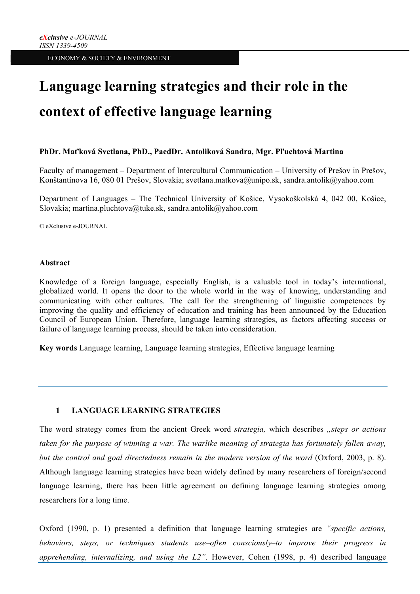# **Language learning strategies and their role in the context of effective language learning**

## **PhDr. Maťková Svetlana, PhD., PaedDr. Antoliková Sandra, Mgr. Pľuchtová Martina**

Faculty of management – Department of Intercultural Communication – University of Prešov in Prešov, Konštantínova 16, 080 01 Prešov, Slovakia; svetlana.matkova@unipo.sk, sandra.antolik@yahoo.com

Department of Languages – The Technical University of Košice, Vysokoškolská 4, 042 00, Košice, Slovakia; martina.pluchtova@tuke.sk, sandra.antolik@yahoo.com

© eXclusive e-JOURNAL

#### **Abstract**

Knowledge of a foreign language, especially English, is a valuable tool in today's international, globalized world. It opens the door to the whole world in the way of knowing, understanding and communicating with other cultures. The call for the strengthening of linguistic competences by improving the quality and efficiency of education and training has been announced by the Education Council of European Union. Therefore, language learning strategies, as factors affecting success or failure of language learning process, should be taken into consideration.

**Key words** Language learning, Language learning strategies, Effective language learning

## **1 LANGUAGE LEARNING STRATEGIES**

The word strategy comes from the ancient Greek word *strategia,* which describes *"steps or actions taken for the purpose of winning a war. The warlike meaning of strategia has fortunately fallen away, but the control and goal directedness remain in the modern version of the word* (Oxford, 2003, p. 8). Although language learning strategies have been widely defined by many researchers of foreign/second language learning, there has been little agreement on defining language learning strategies among researchers for a long time.

Oxford (1990, p. 1) presented a definition that language learning strategies are *"specific actions, behaviors, steps, or techniques students use–often consciously–to improve their progress in apprehending, internalizing, and using the L2".* However, Cohen (1998, p. 4) described language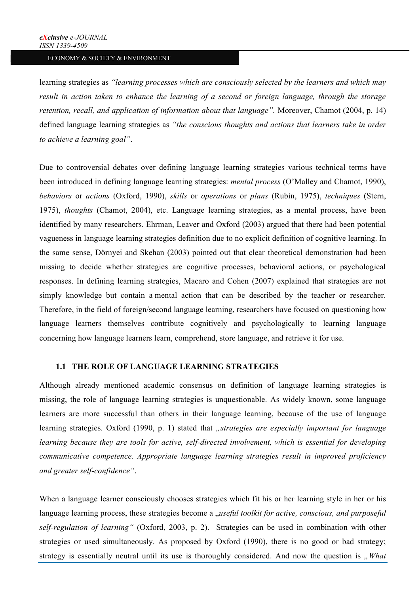learning strategies as *"learning processes which are consciously selected by the learners and which may result in action taken to enhance the learning of a second or foreign language, through the storage retention, recall, and application of information about that language".* Moreover, Chamot (2004, p. 14) defined language learning strategies as *"the conscious thoughts and actions that learners take in order to achieve a learning goal"*.

Due to controversial debates over defining language learning strategies various technical terms have been introduced in defining language learning strategies: *mental process* (O'Malley and Chamot, 1990), *behaviors* or *actions* (Oxford, 1990), *skills* or *operations* or *plans* (Rubin, 1975), *techniques* (Stern, 1975), *thoughts* (Chamot, 2004), etc. Language learning strategies, as a mental process, have been identified by many researchers. Ehrman, Leaver and Oxford (2003) argued that there had been potential vagueness in language learning strategies definition due to no explicit definition of cognitive learning. In the same sense, Dörnyei and Skehan (2003) pointed out that clear theoretical demonstration had been missing to decide whether strategies are cognitive processes, behavioral actions, or psychological responses. In defining learning strategies, Macaro and Cohen (2007) explained that strategies are not simply knowledge but contain a mental action that can be described by the teacher or researcher. Therefore, in the field of foreign/second language learning, researchers have focused on questioning how language learners themselves contribute cognitively and psychologically to learning language concerning how language learners learn, comprehend, store language, and retrieve it for use.

## **1.1 THE ROLE OF LANGUAGE LEARNING STRATEGIES**

Although already mentioned academic consensus on definition of language learning strategies is missing, the role of language learning strategies is unquestionable. As widely known, some language learners are more successful than others in their language learning, because of the use of language learning strategies. Oxford (1990, p. 1) stated that *"strategies are especially important for language learning because they are tools for active, self-directed involvement, which is essential for developing communicative competence. Appropriate language learning strategies result in improved proficiency and greater self-confidence"*.

When a language learner consciously chooses strategies which fit his or her learning style in her or his language learning process, these strategies become a *"useful toolkit for active, conscious, and purposeful self-regulation of learning"* (Oxford, 2003, p. 2). Strategies can be used in combination with other strategies or used simultaneously. As proposed by Oxford (1990), there is no good or bad strategy; strategy is essentially neutral until its use is thoroughly considered. And now the question is *"What*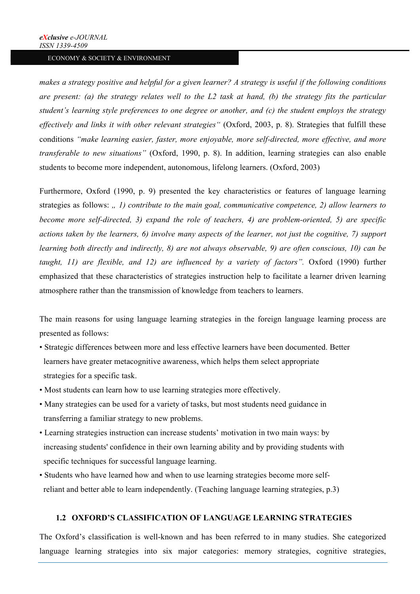*makes a strategy positive and helpful for a given learner? A strategy is useful if the following conditions are present: (a) the strategy relates well to the L2 task at hand, (b) the strategy fits the particular student's learning style preferences to one degree or another, and (c) the student employs the strategy effectively and links it with other relevant strategies"* (Oxford, 2003, p. 8). Strategies that fulfill these conditions *"make learning easier, faster, more enjoyable, more self-directed, more effective, and more transferable to new situations"* (Oxford, 1990, p. 8). In addition, learning strategies can also enable students to become more independent, autonomous, lifelong learners. (Oxford, 2003)

Furthermore, Oxford (1990, p. 9) presented the key characteristics or features of language learning strategies as follows: *" (i) contribute to the main goal, communicative competence, 2) allow learners to become more self-directed, 3) expand the role of teachers, 4) are problem-oriented, 5) are specific actions taken by the learners, 6) involve many aspects of the learner, not just the cognitive, 7) support learning both directly and indirectly, 8) are not always observable, 9) are often conscious, 10) can be taught, 11) are flexible, and 12) are influenced by a variety of factors".* Oxford (1990) further emphasized that these characteristics of strategies instruction help to facilitate a learner driven learning atmosphere rather than the transmission of knowledge from teachers to learners.

The main reasons for using language learning strategies in the foreign language learning process are presented as follows:

- Strategic differences between more and less effective learners have been documented. Better learners have greater metacognitive awareness, which helps them select appropriate strategies for a specific task.
- Most students can learn how to use learning strategies more effectively.
- Many strategies can be used for a variety of tasks, but most students need guidance in transferring a familiar strategy to new problems.
- Learning strategies instruction can increase students' motivation in two main ways: by increasing students' confidence in their own learning ability and by providing students with specific techniques for successful language learning.
- Students who have learned how and when to use learning strategies become more self reliant and better able to learn independently. (Teaching language learning strategies, p.3)

# **1.2 OXFORD'S CLASSIFICATION OF LANGUAGE LEARNING STRATEGIES**

The Oxford's classification is well-known and has been referred to in many studies. She categorized language learning strategies into six major categories: memory strategies, cognitive strategies,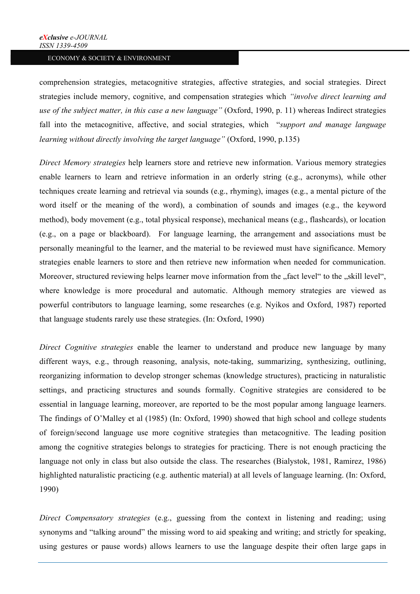comprehension strategies, metacognitive strategies, affective strategies, and social strategies. Direct strategies include memory, cognitive, and compensation strategies which *"involve direct learning and use of the subject matter, in this case a new language"* (Oxford, 1990, p. 11) whereas Indirect strategies fall into the metacognitive, affective, and social strategies, which "*support and manage language learning without directly involving the target language"* (Oxford, 1990, p.135)

*Direct Memory strategies* help learners store and retrieve new information. Various memory strategies enable learners to learn and retrieve information in an orderly string (e.g., acronyms), while other techniques create learning and retrieval via sounds (e.g., rhyming), images (e.g., a mental picture of the word itself or the meaning of the word), a combination of sounds and images (e.g., the keyword method), body movement (e.g., total physical response), mechanical means (e.g., flashcards), or location (e.g., on a page or blackboard). For language learning, the arrangement and associations must be personally meaningful to the learner, and the material to be reviewed must have significance. Memory strategies enable learners to store and then retrieve new information when needed for communication. Moreover, structured reviewing helps learner move information from the "fact level" to the "skill level", where knowledge is more procedural and automatic. Although memory strategies are viewed as powerful contributors to language learning, some researches (e.g. Nyikos and Oxford, 1987) reported that language students rarely use these strategies. (In: Oxford, 1990)

*Direct Cognitive strategies* enable the learner to understand and produce new language by many different ways, e.g., through reasoning, analysis, note-taking, summarizing, synthesizing, outlining, reorganizing information to develop stronger schemas (knowledge structures), practicing in naturalistic settings, and practicing structures and sounds formally. Cognitive strategies are considered to be essential in language learning, moreover, are reported to be the most popular among language learners. The findings of O'Malley et al (1985) (In: Oxford, 1990) showed that high school and college students of foreign/second language use more cognitive strategies than metacognitive. The leading position among the cognitive strategies belongs to strategies for practicing. There is not enough practicing the language not only in class but also outside the class. The researches (Bialystok, 1981, Ramirez, 1986) highlighted naturalistic practicing (e.g. authentic material) at all levels of language learning. (In: Oxford, 1990)

*Direct Compensatory strategies* (e.g., guessing from the context in listening and reading; using synonyms and "talking around" the missing word to aid speaking and writing; and strictly for speaking, using gestures or pause words) allows learners to use the language despite their often large gaps in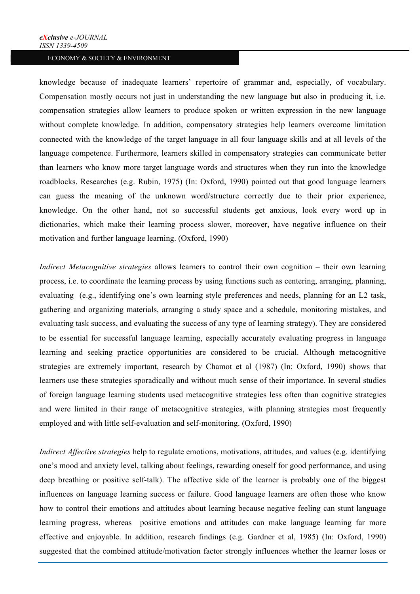knowledge because of inadequate learners' repertoire of grammar and, especially, of vocabulary. Compensation mostly occurs not just in understanding the new language but also in producing it, i.e. compensation strategies allow learners to produce spoken or written expression in the new language without complete knowledge. In addition, compensatory strategies help learners overcome limitation connected with the knowledge of the target language in all four language skills and at all levels of the language competence. Furthermore, learners skilled in compensatory strategies can communicate better than learners who know more target language words and structures when they run into the knowledge roadblocks. Researches (e.g. Rubin, 1975) (In: Oxford, 1990) pointed out that good language learners can guess the meaning of the unknown word/structure correctly due to their prior experience, knowledge. On the other hand, not so successful students get anxious, look every word up in dictionaries, which make their learning process slower, moreover, have negative influence on their motivation and further language learning. (Oxford, 1990)

*Indirect Metacognitive strategies* allows learners to control their own cognition – their own learning process, i.e. to coordinate the learning process by using functions such as centering, arranging, planning, evaluating (e.g., identifying one's own learning style preferences and needs, planning for an L2 task, gathering and organizing materials, arranging a study space and a schedule, monitoring mistakes, and evaluating task success, and evaluating the success of any type of learning strategy). They are considered to be essential for successful language learning, especially accurately evaluating progress in language learning and seeking practice opportunities are considered to be crucial. Although metacognitive strategies are extremely important, research by Chamot et al (1987) (In: Oxford, 1990) shows that learners use these strategies sporadically and without much sense of their importance. In several studies of foreign language learning students used metacognitive strategies less often than cognitive strategies and were limited in their range of metacognitive strategies, with planning strategies most frequently employed and with little self-evaluation and self-monitoring. (Oxford, 1990)

*Indirect Affective strategies* help to regulate emotions, motivations, attitudes, and values (e.g. identifying one's mood and anxiety level, talking about feelings, rewarding oneself for good performance, and using deep breathing or positive self-talk). The affective side of the learner is probably one of the biggest influences on language learning success or failure. Good language learners are often those who know how to control their emotions and attitudes about learning because negative feeling can stunt language learning progress, whereas positive emotions and attitudes can make language learning far more effective and enjoyable. In addition, research findings (e.g. Gardner et al, 1985) (In: Oxford, 1990) suggested that the combined attitude/motivation factor strongly influences whether the learner loses or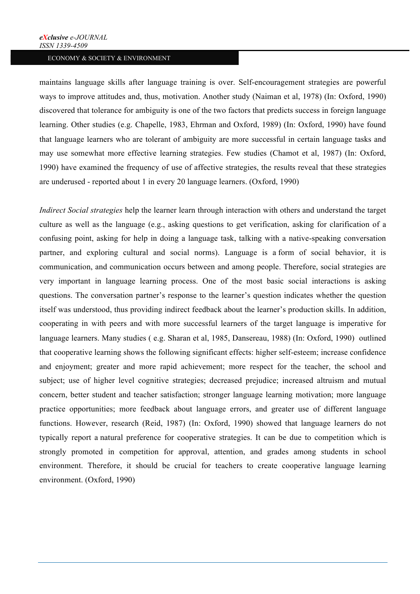maintains language skills after language training is over. Self-encouragement strategies are powerful ways to improve attitudes and, thus, motivation. Another study (Naiman et al, 1978) (In: Oxford, 1990) discovered that tolerance for ambiguity is one of the two factors that predicts success in foreign language learning. Other studies (e.g. Chapelle, 1983, Ehrman and Oxford, 1989) (In: Oxford, 1990) have found that language learners who are tolerant of ambiguity are more successful in certain language tasks and may use somewhat more effective learning strategies. Few studies (Chamot et al, 1987) (In: Oxford, 1990) have examined the frequency of use of affective strategies, the results reveal that these strategies are underused - reported about 1 in every 20 language learners. (Oxford, 1990)

*Indirect Social strategies* help the learner learn through interaction with others and understand the target culture as well as the language (e.g., asking questions to get verification, asking for clarification of a confusing point, asking for help in doing a language task, talking with a native-speaking conversation partner, and exploring cultural and social norms). Language is a form of social behavior, it is communication, and communication occurs between and among people. Therefore, social strategies are very important in language learning process. One of the most basic social interactions is asking questions. The conversation partner's response to the learner's question indicates whether the question itself was understood, thus providing indirect feedback about the learner's production skills. In addition, cooperating in with peers and with more successful learners of the target language is imperative for language learners. Many studies ( e.g. Sharan et al, 1985, Dansereau, 1988) (In: Oxford, 1990) outlined that cooperative learning shows the following significant effects: higher self-esteem; increase confidence and enjoyment; greater and more rapid achievement; more respect for the teacher, the school and subject; use of higher level cognitive strategies; decreased prejudice; increased altruism and mutual concern, better student and teacher satisfaction; stronger language learning motivation; more language practice opportunities; more feedback about language errors, and greater use of different language functions. However, research (Reid, 1987) (In: Oxford, 1990) showed that language learners do not typically report a natural preference for cooperative strategies. It can be due to competition which is strongly promoted in competition for approval, attention, and grades among students in school environment. Therefore, it should be crucial for teachers to create cooperative language learning environment. (Oxford, 1990)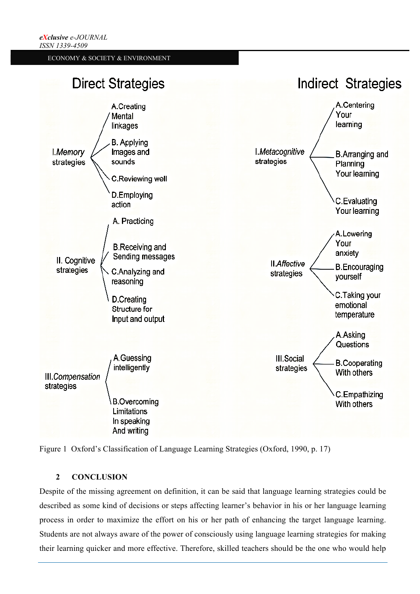



## **2 CONCLUSION**

Despite of the missing agreement on definition, it can be said that language learning strategies could be described as some kind of decisions or steps affecting learner's behavior in his or her language learning process in order to maximize the effort on his or her path of enhancing the target language learning. Students are not always aware of the power of consciously using language learning strategies for making their learning quicker and more effective. Therefore, skilled teachers should be the one who would help